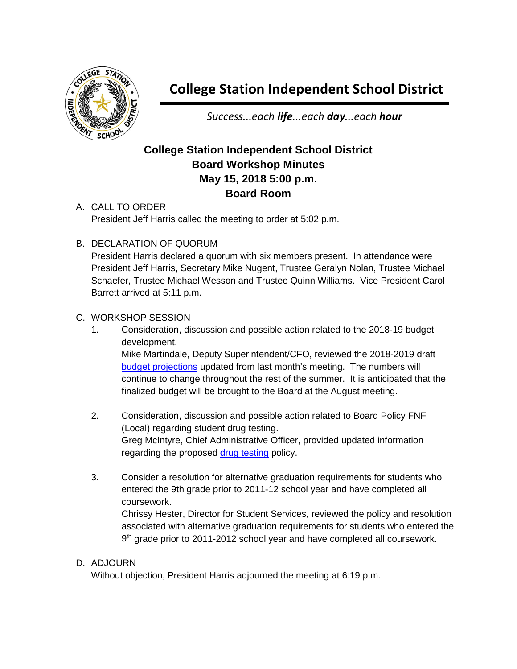

## **College Station Independent School District**

*Success...each life...each day...each hour*

## **College Station Independent School District Board Workshop Minutes May 15, 2018 5:00 p.m. Board Room**

- A. CALL TO ORDER President Jeff Harris called the meeting to order at 5:02 p.m.
- B. DECLARATION OF QUORUM

President Harris declared a quorum with six members present. In attendance were President Jeff Harris, Secretary Mike Nugent, Trustee Geralyn Nolan, Trustee Michael Schaefer, Trustee Michael Wesson and Trustee Quinn Williams. Vice President Carol Barrett arrived at 5:11 p.m.

## C. WORKSHOP SESSION

- 1. Consideration, discussion and possible action related to the 2018-19 budget development. Mike Martindale, Deputy Superintendent/CFO, reviewed the 2018-2019 draft [budget projections](http://web.csisd.org/school_board/agendas/2017-2018/June/Workshop2018-19BudgetDevelopment5.15.18BoardWorkshop.pdf) updated from last month's meeting. The numbers will continue to change throughout the rest of the summer. It is anticipated that the finalized budget will be brought to the Board at the August meeting.
- 2. Consideration, discussion and possible action related to Board Policy FNF (Local) regarding student drug testing. Greg McIntyre, Chief Administrative Officer, provided updated information regarding the proposed [drug testing](http://web.csisd.org/school_board/agendas/2017-2018/June/WorkshopRandomStudentDrugTesting5-15-18.pdf) policy.
- 3. Consider a resolution for alternative graduation requirements for students who entered the 9th grade prior to 2011-12 school year and have completed all coursework. Chrissy Hester, Director for Student Services, reviewed the policy and resolution

associated with alternative graduation requirements for students who entered the 9<sup>th</sup> grade prior to 2011-2012 school year and have completed all coursework.

## D. ADJOURN

Without objection, President Harris adjourned the meeting at 6:19 p.m.